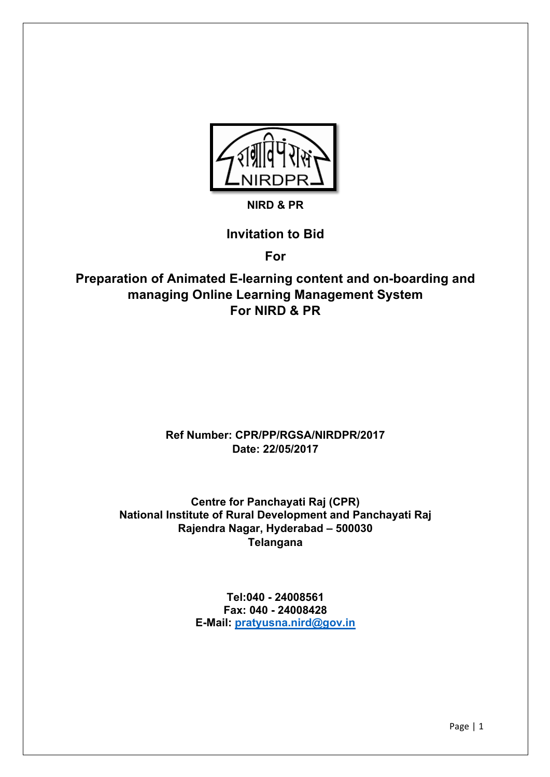

### **NIRD & PR**

### **Invitation to Bid**

**For**

**Preparation of Animated E-learning content and on-boarding and managing Online Learning Management System For NIRD & PR**

### **Ref Number: CPR/PP/RGSA/NIRDPR/2017 Date: 22/05/2017**

**Centre for Panchayati Raj (CPR) National Institute of Rural Development and Panchayati Raj Rajendra Nagar, Hyderabad – 500030 Telangana**

> **Tel:040 - 24008561 Fax: 040 - 24008428 E-Mail: pratyusna.nird@gov.in**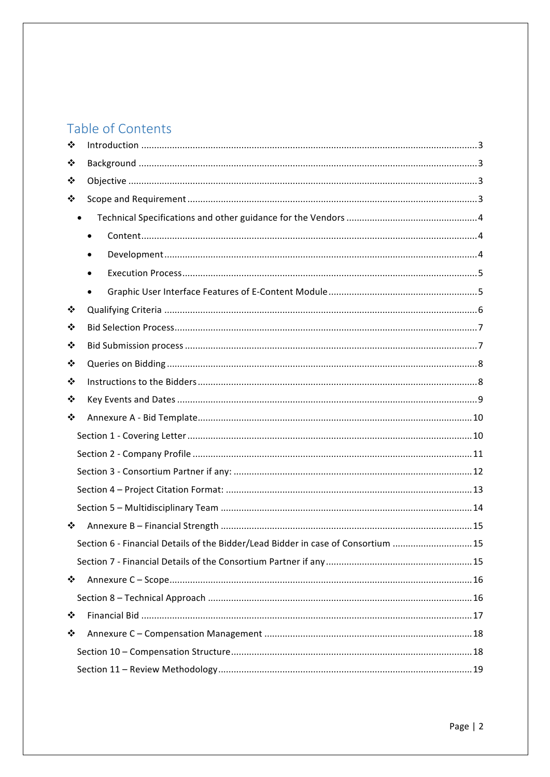# Table of Contents

| ❖ |                                                                                  |  |
|---|----------------------------------------------------------------------------------|--|
| ❖ |                                                                                  |  |
| ❖ |                                                                                  |  |
| ❖ |                                                                                  |  |
|   |                                                                                  |  |
|   | $\bullet$                                                                        |  |
|   |                                                                                  |  |
|   |                                                                                  |  |
|   |                                                                                  |  |
| ❖ |                                                                                  |  |
| ❖ |                                                                                  |  |
| ❖ |                                                                                  |  |
| ❖ |                                                                                  |  |
| ❖ |                                                                                  |  |
| ❖ |                                                                                  |  |
| ❖ |                                                                                  |  |
|   |                                                                                  |  |
|   |                                                                                  |  |
|   |                                                                                  |  |
|   |                                                                                  |  |
|   |                                                                                  |  |
| ❖ |                                                                                  |  |
|   | Section 6 - Financial Details of the Bidder/Lead Bidder in case of Consortium 15 |  |
|   |                                                                                  |  |
| ❖ |                                                                                  |  |
|   |                                                                                  |  |
| ❖ |                                                                                  |  |
| ❖ |                                                                                  |  |
|   |                                                                                  |  |
|   |                                                                                  |  |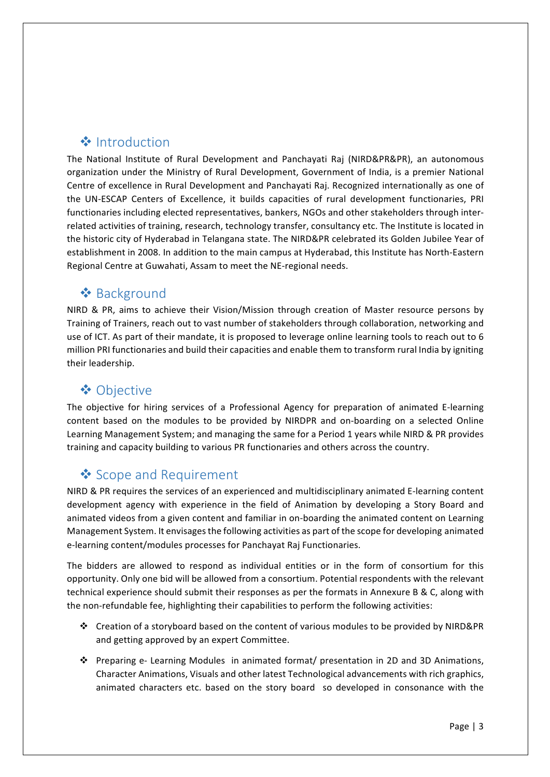## ❖ Introduction

The National Institute of Rural Development and Panchayati Raj (NIRD&PR&PR), an autonomous organization under the Ministry of Rural Development, Government of India, is a premier National Centre of excellence in Rural Development and Panchayati Raj. Recognized internationally as one of the UN-ESCAP Centers of Excellence, it builds capacities of rural development functionaries, PRI functionaries including elected representatives, bankers, NGOs and other stakeholders through interrelated activities of training, research, technology transfer, consultancy etc. The Institute is located in the historic city of Hyderabad in Telangana state. The NIRD&PR celebrated its Golden Jubilee Year of establishment in 2008. In addition to the main campus at Hyderabad, this Institute has North-Eastern Regional Centre at Guwahati, Assam to meet the NE-regional needs.

## **❖** Background

NIRD & PR, aims to achieve their Vision/Mission through creation of Master resource persons by Training of Trainers, reach out to vast number of stakeholders through collaboration, networking and use of ICT. As part of their mandate, it is proposed to leverage online learning tools to reach out to 6 million PRI functionaries and build their capacities and enable them to transform rural India by igniting their leadership.

## **❖ Objective**

The objective for hiring services of a Professional Agency for preparation of animated E-learning content based on the modules to be provided by NIRDPR and on-boarding on a selected Online Learning Management System; and managing the same for a Period 1 years while NIRD & PR provides training and capacity building to various PR functionaries and others across the country.

## ❖ Scope and Requirement

NIRD & PR requires the services of an experienced and multidisciplinary animated E-learning content development agency with experience in the field of Animation by developing a Story Board and animated videos from a given content and familiar in on-boarding the animated content on Learning Management System. It envisages the following activities as part of the scope for developing animated e-learning content/modules processes for Panchayat Raj Functionaries.

The bidders are allowed to respond as individual entities or in the form of consortium for this opportunity. Only one bid will be allowed from a consortium. Potential respondents with the relevant technical experience should submit their responses as per the formats in Annexure B & C, along with the non-refundable fee, highlighting their capabilities to perform the following activities:

- $\cdot$  Creation of a storyboard based on the content of various modules to be provided by NIRD&PR and getting approved by an expert Committee.
- ◆ Preparing e- Learning Modules in animated format/ presentation in 2D and 3D Animations, Character Animations, Visuals and other latest Technological advancements with rich graphics, animated characters etc. based on the story board so developed in consonance with the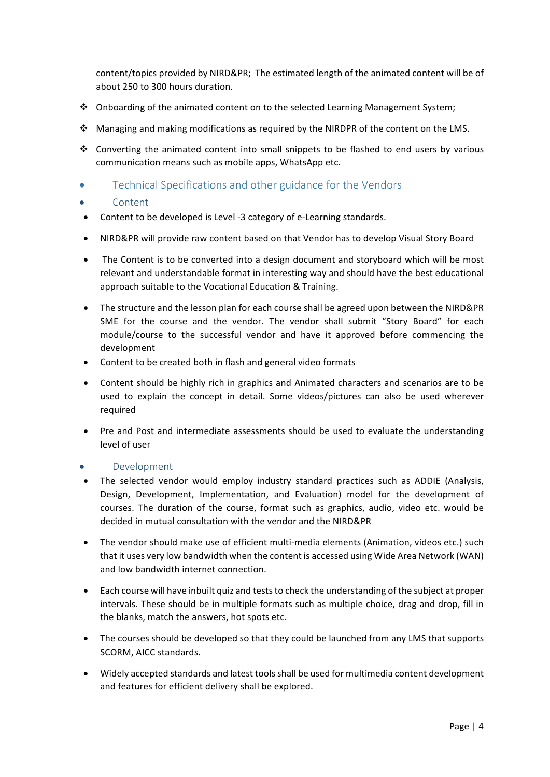content/topics provided by NIRD≺ The estimated length of the animated content will be of about 250 to 300 hours duration.

- $\cdot$  Onboarding of the animated content on to the selected Learning Management System;
- $\cdot$  Managing and making modifications as required by the NIRDPR of the content on the LMS.
- $\cdot$  Converting the animated content into small snippets to be flashed to end users by various communication means such as mobile apps, WhatsApp etc.
- Technical Specifications and other guidance for the Vendors

#### **Content**

- Content to be developed is Level -3 category of e-Learning standards.
- NIRD&PR will provide raw content based on that Vendor has to develop Visual Story Board
- The Content is to be converted into a design document and storyboard which will be most relevant and understandable format in interesting way and should have the best educational approach suitable to the Vocational Education & Training.
- The structure and the lesson plan for each course shall be agreed upon between the NIRD&PR SME for the course and the vendor. The vendor shall submit "Story Board" for each module/course to the successful vendor and have it approved before commencing the development
- Content to be created both in flash and general video formats
- Content should be highly rich in graphics and Animated characters and scenarios are to be used to explain the concept in detail. Some videos/pictures can also be used wherever required
- Pre and Post and intermediate assessments should be used to evaluate the understanding level of user

#### **Development**

- The selected vendor would employ industry standard practices such as ADDIE (Analysis, Design, Development, Implementation, and Evaluation) model for the development of courses. The duration of the course, format such as graphics, audio, video etc. would be decided in mutual consultation with the vendor and the NIRD&PR
- The vendor should make use of efficient multi-media elements (Animation, videos etc.) such that it uses very low bandwidth when the content is accessed using Wide Area Network (WAN) and low bandwidth internet connection.
- Each course will have inbuilt quiz and tests to check the understanding of the subject at proper intervals. These should be in multiple formats such as multiple choice, drag and drop, fill in the blanks, match the answers, hot spots etc.
- The courses should be developed so that they could be launched from any LMS that supports SCORM, AICC standards.
- Widely accepted standards and latest tools shall be used for multimedia content development and features for efficient delivery shall be explored.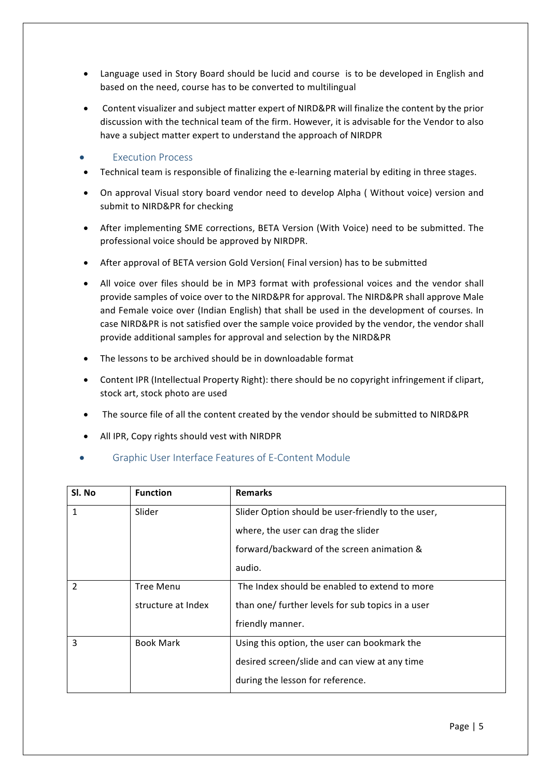- Language used in Story Board should be lucid and course is to be developed in English and based on the need, course has to be converted to multilingual
- Content visualizer and subject matter expert of NIRD&PR will finalize the content by the prior discussion with the technical team of the firm. However, it is advisable for the Vendor to also have a subject matter expert to understand the approach of NIRDPR
- **Execution Process**
- Technical team is responsible of finalizing the e-learning material by editing in three stages.
- On approval Visual story board vendor need to develop Alpha ( Without voice) version and submit to NIRD&PR for checking
- After implementing SME corrections, BETA Version (With Voice) need to be submitted. The professional voice should be approved by NIRDPR.
- After approval of BETA version Gold Version( Final version) has to be submitted
- All voice over files should be in MP3 format with professional voices and the vendor shall provide samples of voice over to the NIRD&PR for approval. The NIRD&PR shall approve Male and Female voice over (Indian English) that shall be used in the development of courses. In case NIRD&PR is not satisfied over the sample voice provided by the vendor, the vendor shall provide additional samples for approval and selection by the NIRD&PR
- $\bullet$  The lessons to be archived should be in downloadable format
- Content IPR (Intellectual Property Right): there should be no copyright infringement if clipart, stock art, stock photo are used
- The source file of all the content created by the vendor should be submitted to NIRD&PR
- All IPR, Copy rights should vest with NIRDPR
- Graphic User Interface Features of E-Content Module

| Sl. No         | <b>Function</b>    | <b>Remarks</b>                                     |
|----------------|--------------------|----------------------------------------------------|
| 1              | Slider             | Slider Option should be user-friendly to the user, |
|                |                    | where, the user can drag the slider                |
|                |                    | forward/backward of the screen animation &         |
|                |                    | audio.                                             |
| $\overline{2}$ | <b>Tree Menu</b>   | The Index should be enabled to extend to more      |
|                | structure at Index | than one/ further levels for sub topics in a user  |
|                |                    | friendly manner.                                   |
| 3              | <b>Book Mark</b>   | Using this option, the user can bookmark the       |
|                |                    | desired screen/slide and can view at any time      |
|                |                    | during the lesson for reference.                   |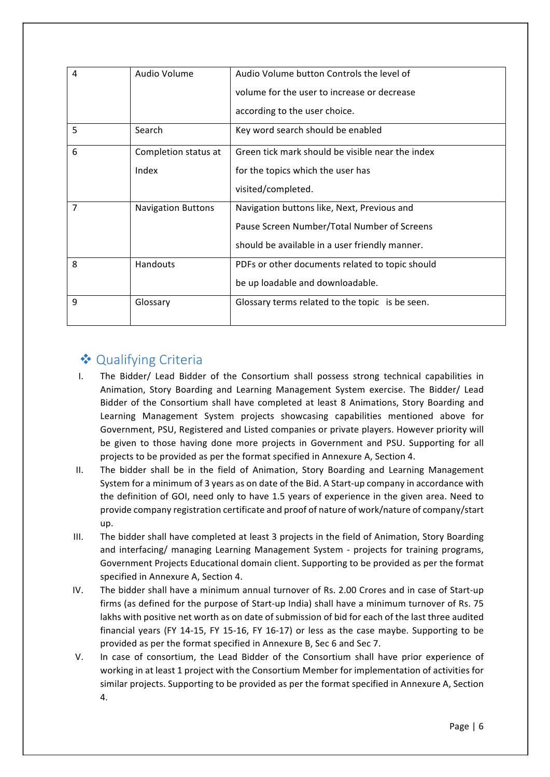| 4              | Audio Volume              | Audio Volume button Controls the level of        |  |
|----------------|---------------------------|--------------------------------------------------|--|
|                |                           | volume for the user to increase or decrease      |  |
|                |                           | according to the user choice.                    |  |
| 5              | Search                    | Key word search should be enabled                |  |
| 6              | Completion status at      | Green tick mark should be visible near the index |  |
|                | Index                     | for the topics which the user has                |  |
|                |                           | visited/completed.                               |  |
| $\overline{7}$ | <b>Navigation Buttons</b> | Navigation buttons like, Next, Previous and      |  |
|                |                           | Pause Screen Number/Total Number of Screens      |  |
|                |                           | should be available in a user friendly manner.   |  |
| 8              | Handouts                  | PDFs or other documents related to topic should  |  |
|                |                           | be up loadable and downloadable.                 |  |
| 9              | Glossary                  | Glossary terms related to the topic is be seen.  |  |
|                |                           |                                                  |  |

## ❖ Qualifying Criteria

- I. The Bidder/ Lead Bidder of the Consortium shall possess strong technical capabilities in Animation, Story Boarding and Learning Management System exercise. The Bidder/ Lead Bidder of the Consortium shall have completed at least 8 Animations, Story Boarding and Learning Management System projects showcasing capabilities mentioned above for Government, PSU, Registered and Listed companies or private players. However priority will be given to those having done more projects in Government and PSU. Supporting for all projects to be provided as per the format specified in Annexure A, Section 4.
- II. The bidder shall be in the field of Animation, Story Boarding and Learning Management System for a minimum of 3 years as on date of the Bid. A Start-up company in accordance with the definition of GOI, need only to have 1.5 years of experience in the given area. Need to provide company registration certificate and proof of nature of work/nature of company/start up.
- III. The bidder shall have completed at least 3 projects in the field of Animation, Story Boarding and interfacing/ managing Learning Management System - projects for training programs, Government Projects Educational domain client. Supporting to be provided as per the format specified in Annexure A, Section 4.
- IV. The bidder shall have a minimum annual turnover of Rs. 2.00 Crores and in case of Start-up firms (as defined for the purpose of Start-up India) shall have a minimum turnover of Rs. 75 lakhs with positive net worth as on date of submission of bid for each of the last three audited financial years (FY 14-15, FY 15-16, FY 16-17) or less as the case maybe. Supporting to be provided as per the format specified in Annexure B, Sec 6 and Sec 7.
- V. In case of consortium, the Lead Bidder of the Consortium shall have prior experience of working in at least 1 project with the Consortium Member for implementation of activities for similar projects. Supporting to be provided as per the format specified in Annexure A, Section 4.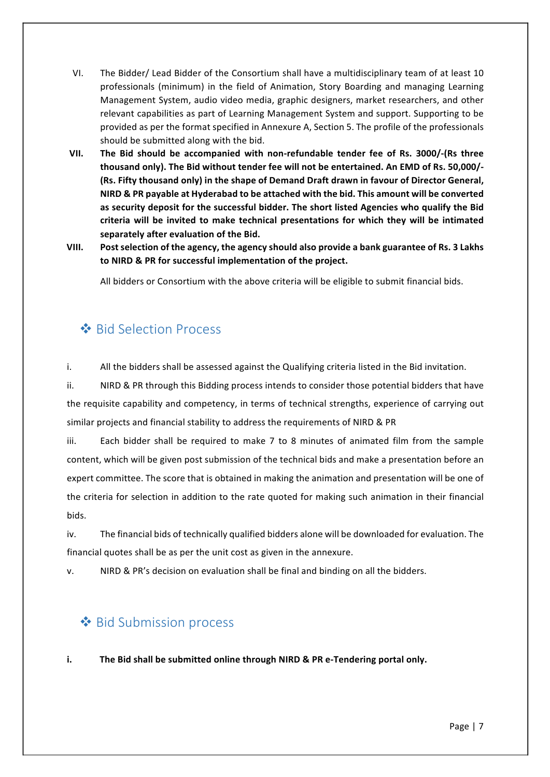- VI. The Bidder/ Lead Bidder of the Consortium shall have a multidisciplinary team of at least 10 professionals (minimum) in the field of Animation, Story Boarding and managing Learning Management System, audio video media, graphic designers, market researchers, and other relevant capabilities as part of Learning Management System and support. Supporting to be provided as per the format specified in Annexure A, Section 5. The profile of the professionals should be submitted along with the bid.
- **VII.** The Bid should be accompanied with non-refundable tender fee of Rs. 3000/-(Rs three **thousand only). The Bid without tender fee will not be entertained. An EMD of Rs. 50,000/-** (Rs. Fifty thousand only) in the shape of Demand Draft drawn in favour of Director General, **NIRD & PR payable at Hyderabad to be attached with the bid. This amount will be converted** as security deposit for the successful bidder. The short listed Agencies who qualify the Bid criteria will be invited to make technical presentations for which they will be intimated separately after evaluation of the Bid.
- VIII. Post selection of the agency, the agency should also provide a bank guarantee of Rs. 3 Lakhs to NIRD & PR for successful implementation of the project.

All bidders or Consortium with the above criteria will be eligible to submit financial bids.

## $\triangle$  Bid Selection Process

i. All the bidders shall be assessed against the Qualifying criteria listed in the Bid invitation.

ii. NIRD & PR through this Bidding process intends to consider those potential bidders that have the requisite capability and competency, in terms of technical strengths, experience of carrying out similar projects and financial stability to address the requirements of NIRD & PR

iii. Each bidder shall be required to make 7 to 8 minutes of animated film from the sample content, which will be given post submission of the technical bids and make a presentation before an expert committee. The score that is obtained in making the animation and presentation will be one of the criteria for selection in addition to the rate quoted for making such animation in their financial bids. 

iv. The financial bids of technically qualified bidders alone will be downloaded for evaluation. The financial quotes shall be as per the unit cost as given in the annexure.

v. NIRD & PR's decision on evaluation shall be final and binding on all the bidders.

## **❖** Bid Submission process

**i.** The Bid shall be submitted online through NIRD & PR e-Tendering portal only.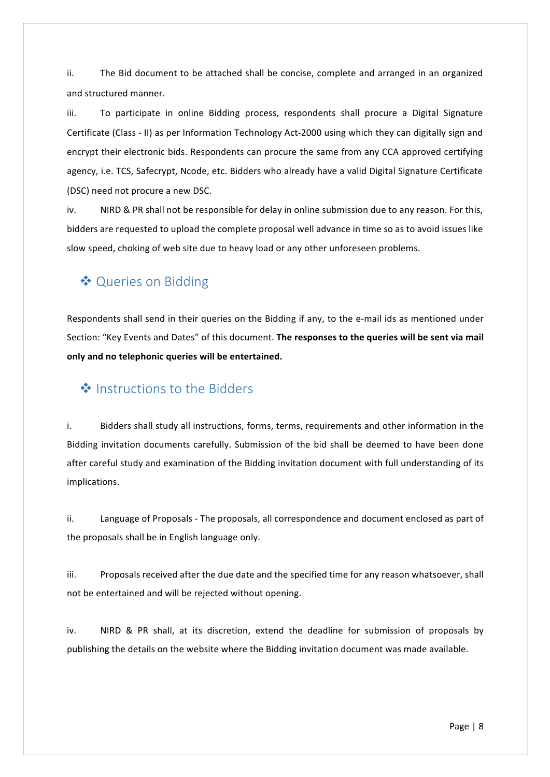ii. The Bid document to be attached shall be concise, complete and arranged in an organized and structured manner.

iii. To participate in online Bidding process, respondents shall procure a Digital Signature Certificate (Class - II) as per Information Technology Act-2000 using which they can digitally sign and encrypt their electronic bids. Respondents can procure the same from any CCA approved certifying agency, i.e. TCS, Safecrypt, Ncode, etc. Bidders who already have a valid Digital Signature Certificate (DSC) need not procure a new DSC.

iv. NIRD & PR shall not be responsible for delay in online submission due to any reason. For this, bidders are requested to upload the complete proposal well advance in time so as to avoid issues like slow speed, choking of web site due to heavy load or any other unforeseen problems.

## ◆ Queries on Bidding

Respondents shall send in their queries on the Bidding if any, to the e-mail ids as mentioned under Section: "Key Events and Dates" of this document. The responses to the queries will be sent via mail only and no telephonic queries will be entertained.

### $\triangleq$  Instructions to the Bidders

i. Bidders shall study all instructions, forms, terms, requirements and other information in the Bidding invitation documents carefully. Submission of the bid shall be deemed to have been done after careful study and examination of the Bidding invitation document with full understanding of its implications.

ii. Language of Proposals - The proposals, all correspondence and document enclosed as part of the proposals shall be in English language only.

iii. Proposals received after the due date and the specified time for any reason whatsoever, shall not be entertained and will be rejected without opening.

iv. NIRD & PR shall, at its discretion, extend the deadline for submission of proposals by publishing the details on the website where the Bidding invitation document was made available.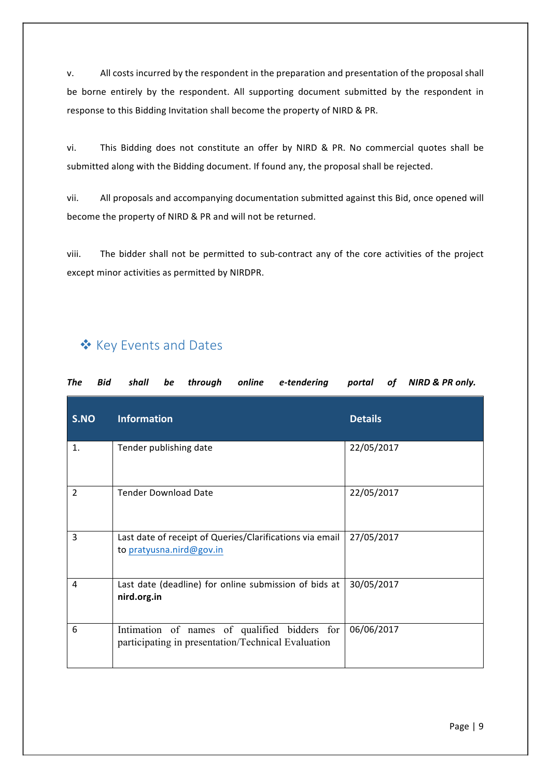v. All costs incurred by the respondent in the preparation and presentation of the proposal shall be borne entirely by the respondent. All supporting document submitted by the respondent in response to this Bidding Invitation shall become the property of NIRD & PR.

vi. This Bidding does not constitute an offer by NIRD & PR. No commercial quotes shall be submitted along with the Bidding document. If found any, the proposal shall be rejected.

vii. All proposals and accompanying documentation submitted against this Bid, once opened will become the property of NIRD & PR and will not be returned.

viii. The bidder shall not be permitted to sub-contract any of the core activities of the project except minor activities as permitted by NIRDPR.

## ❖ Key Events and Dates

| <b>Bid</b><br>The | be<br>shall<br>through<br>online<br>e-tendering                                                    | NIRD & PR only.<br>portal<br><i>of</i> |
|-------------------|----------------------------------------------------------------------------------------------------|----------------------------------------|
| S.NO              | <b>Information</b>                                                                                 | <b>Details</b>                         |
| 1.                | Tender publishing date                                                                             | 22/05/2017                             |
| 2                 | <b>Tender Download Date</b>                                                                        | 22/05/2017                             |
| 3                 | Last date of receipt of Queries/Clarifications via email<br>to pratyusna.nird@gov.in               | 27/05/2017                             |
| 4                 | Last date (deadline) for online submission of bids at<br>nird.org.in                               | 30/05/2017                             |
| 6                 | Intimation of names of qualified bidders for<br>participating in presentation/Technical Evaluation | 06/06/2017                             |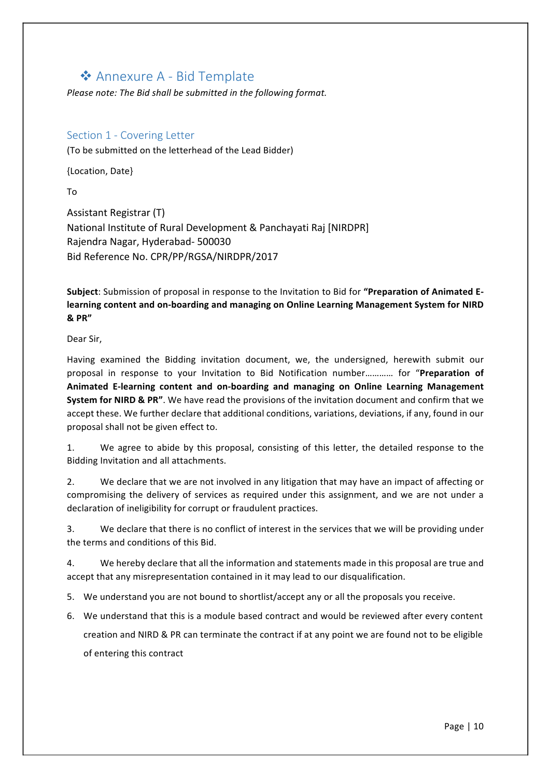### ❖ Annexure A - Bid Template

Please note: The Bid shall be submitted in the following format.

#### Section 1 - Covering Letter

(To be submitted on the letterhead of the Lead Bidder)

{Location, Date}

To

Assistant Registrar (T) National Institute of Rural Development & Panchayati Raj [NIRDPR] Rajendra Nagar, Hyderabad- 500030 Bid Reference No. CPR/PP/RGSA/NIRDPR/2017

**Subject:** Submission of proposal in response to the Invitation to Bid for "Preparation of Animated E**learning content and on-boarding and managing on Online Learning Management System for NIRD & PR"**

Dear Sir.

Having examined the Bidding invitation document, we, the undersigned, herewith submit our proposal in response to your Invitation to Bid Notification number............ for "Preparation of Animated E-learning content and on-boarding and managing on Online Learning Management **System for NIRD & PR"**. We have read the provisions of the invitation document and confirm that we accept these. We further declare that additional conditions, variations, deviations, if any, found in our proposal shall not be given effect to.

1. We agree to abide by this proposal, consisting of this letter, the detailed response to the Bidding Invitation and all attachments.

2. We declare that we are not involved in any litigation that may have an impact of affecting or compromising the delivery of services as required under this assignment, and we are not under a declaration of ineligibility for corrupt or fraudulent practices.

3. We declare that there is no conflict of interest in the services that we will be providing under the terms and conditions of this Bid.

4. We hereby declare that all the information and statements made in this proposal are true and accept that any misrepresentation contained in it may lead to our disqualification.

5. We understand you are not bound to shortlist/accept any or all the proposals you receive.

6. We understand that this is a module based contract and would be reviewed after every content creation and NIRD & PR can terminate the contract if at any point we are found not to be eligible of entering this contract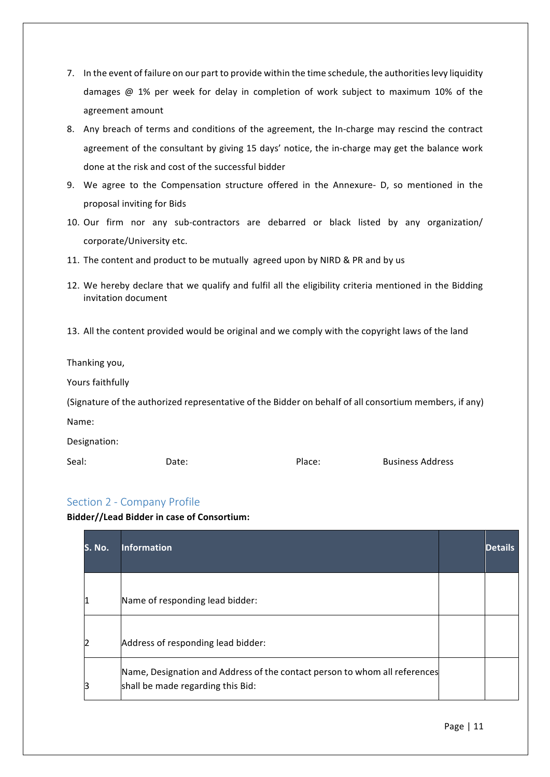- 7. In the event of failure on our part to provide within the time schedule, the authorities levy liquidity damages  $@1%$  per week for delay in completion of work subject to maximum 10% of the agreement amount
- 8. Any breach of terms and conditions of the agreement, the In-charge may rescind the contract agreement of the consultant by giving 15 days' notice, the in-charge may get the balance work done at the risk and cost of the successful bidder
- 9. We agree to the Compensation structure offered in the Annexure- D, so mentioned in the proposal inviting for Bids
- 10. Our firm nor any sub-contractors are debarred or black listed by any organization/ corporate/University etc.
- 11. The content and product to be mutually agreed upon by NIRD & PR and by us
- 12. We hereby declare that we qualify and fulfil all the eligibility criteria mentioned in the Bidding invitation document
- 13. All the content provided would be original and we comply with the copyright laws of the land

Thanking you,

Yours faithfully

(Signature of the authorized representative of the Bidder on behalf of all consortium members, if any) Name:

Designation:

Seal: Date: Place: Business Address

### Section 2 - Company Profile

Bidder//Lead Bidder in case of Consortium:

| lS. No. | <b>Information</b>                                                                                              | <b>Details</b> |
|---------|-----------------------------------------------------------------------------------------------------------------|----------------|
|         | Name of responding lead bidder:                                                                                 |                |
|         | Address of responding lead bidder:                                                                              |                |
|         | Name, Designation and Address of the contact person to whom all references<br>shall be made regarding this Bid: |                |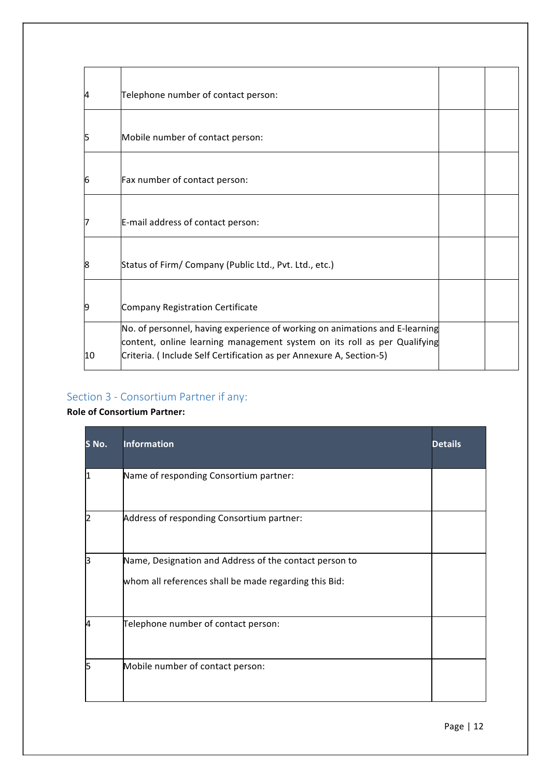| 14 | Telephone number of contact person:                                                                                                                                                                                            |  |
|----|--------------------------------------------------------------------------------------------------------------------------------------------------------------------------------------------------------------------------------|--|
| 15 | Mobile number of contact person:                                                                                                                                                                                               |  |
| 6  | Fax number of contact person:                                                                                                                                                                                                  |  |
| 17 | E-mail address of contact person:                                                                                                                                                                                              |  |
| 8  | Status of Firm/ Company (Public Ltd., Pvt. Ltd., etc.)                                                                                                                                                                         |  |
| 9  | Company Registration Certificate                                                                                                                                                                                               |  |
| 10 | No. of personnel, having experience of working on animations and E-learning<br>content, online learning management system on its roll as per Qualifying<br>Criteria. (Include Self Certification as per Annexure A, Section-5) |  |

# Section 3 - Consortium Partner if any:

### **Role of Consortium Partner:**

| <u>S</u> No. | <b>Information</b>                                                                                              | <b>Details</b> |
|--------------|-----------------------------------------------------------------------------------------------------------------|----------------|
|              | Name of responding Consortium partner:                                                                          |                |
|              | Address of responding Consortium partner:                                                                       |                |
|              | Name, Designation and Address of the contact person to<br>whom all references shall be made regarding this Bid: |                |
|              | Telephone number of contact person:                                                                             |                |
|              | Mobile number of contact person:                                                                                |                |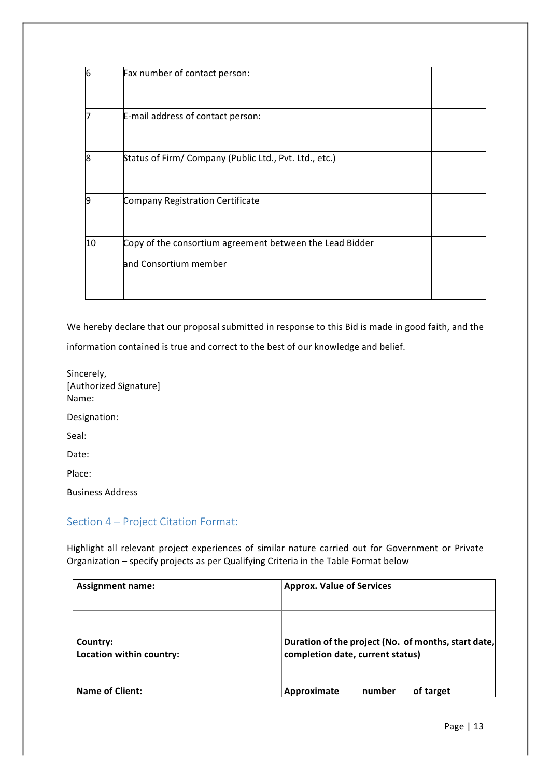| 16 | Fax number of contact person:                            |  |
|----|----------------------------------------------------------|--|
|    | E-mail address of contact person:                        |  |
| 18 | Status of Firm/ Company (Public Ltd., Pvt. Ltd., etc.)   |  |
| 19 | Company Registration Certificate                         |  |
| 10 | Copy of the consortium agreement between the Lead Bidder |  |
|    | and Consortium member                                    |  |

We hereby declare that our proposal submitted in response to this Bid is made in good faith, and the

information contained is true and correct to the best of our knowledge and belief.

Sincerely, [Authorized Signature] Name: Designation: Seal: Date: Place: Business Address

### Section 4 - Project Citation Format:

Highlight all relevant project experiences of similar nature carried out for Government or Private Organization - specify projects as per Qualifying Criteria in the Table Format below

| <b>Assignment name:</b>              | <b>Approx. Value of Services</b>                                                        |
|--------------------------------------|-----------------------------------------------------------------------------------------|
| Country:<br>Location within country: | Duration of the project (No. of months, start date,<br>completion date, current status) |
| <b>Name of Client:</b>               | number<br>Approximate<br>of target                                                      |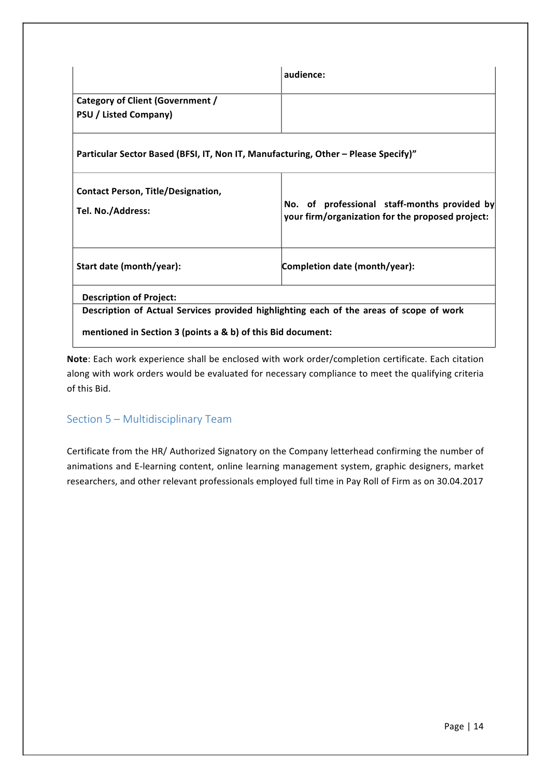|                                                                                         | audience:                                                                                        |  |  |
|-----------------------------------------------------------------------------------------|--------------------------------------------------------------------------------------------------|--|--|
| Category of Client (Government /<br><b>PSU / Listed Company)</b>                        |                                                                                                  |  |  |
|                                                                                         |                                                                                                  |  |  |
| Particular Sector Based (BFSI, IT, Non IT, Manufacturing, Other – Please Specify)"      |                                                                                                  |  |  |
| <b>Contact Person, Title/Designation,</b><br>Tel. No./Address:                          | No. of professional staff-months provided by<br>your firm/organization for the proposed project: |  |  |
| Start date (month/year):                                                                | Completion date (month/year):                                                                    |  |  |
| <b>Description of Project:</b>                                                          |                                                                                                  |  |  |
| Description of Actual Services provided highlighting each of the areas of scope of work |                                                                                                  |  |  |
| mentioned in Section 3 (points a & b) of this Bid document:                             |                                                                                                  |  |  |

Note: Each work experience shall be enclosed with work order/completion certificate. Each citation along with work orders would be evaluated for necessary compliance to meet the qualifying criteria of this Bid.

### Section 5 - Multidisciplinary Team

Certificate from the HR/ Authorized Signatory on the Company letterhead confirming the number of animations and E-learning content, online learning management system, graphic designers, market researchers, and other relevant professionals employed full time in Pay Roll of Firm as on 30.04.2017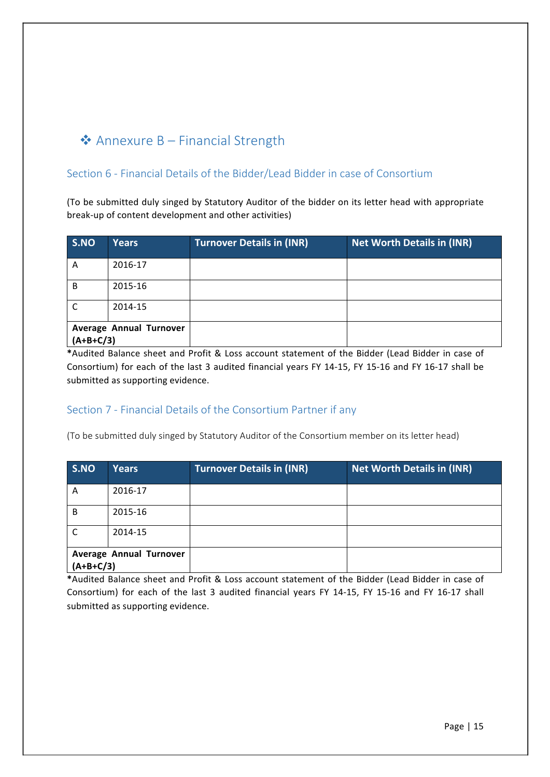# $\triangle$  Annexure B – Financial Strength

### Section 6 - Financial Details of the Bidder/Lead Bidder in case of Consortium

(To be submitted duly singed by Statutory Auditor of the bidder on its letter head with appropriate break-up of content development and other activities)

| S.NO                                   | <b>Years</b> | <b>Turnover Details in (INR)</b> | <b>Net Worth Details in (INR)</b> |
|----------------------------------------|--------------|----------------------------------|-----------------------------------|
| A                                      | 2016-17      |                                  |                                   |
| B                                      | 2015-16      |                                  |                                   |
| C                                      | 2014-15      |                                  |                                   |
| Average Annual Turnover<br>$(A+B+C/3)$ |              |                                  |                                   |

\*Audited Balance sheet and Profit & Loss account statement of the Bidder (Lead Bidder in case of Consortium) for each of the last 3 audited financial years FY 14-15, FY 15-16 and FY 16-17 shall be submitted as supporting evidence.

### Section 7 - Financial Details of the Consortium Partner if any

(To be submitted duly singed by Statutory Auditor of the Consortium member on its letter head)

| S.NO                                          | <b>Years</b> | <b>Turnover Details in (INR)</b> | <b>Net Worth Details in (INR)</b> |
|-----------------------------------------------|--------------|----------------------------------|-----------------------------------|
| A                                             | 2016-17      |                                  |                                   |
| <sub>B</sub>                                  | 2015-16      |                                  |                                   |
| $\mathsf{C}$                                  | 2014-15      |                                  |                                   |
| <b>Average Annual Turnover</b><br>$(A+B+C/3)$ |              |                                  |                                   |

\*Audited Balance sheet and Profit & Loss account statement of the Bidder (Lead Bidder in case of Consortium) for each of the last 3 audited financial years FY 14-15, FY 15-16 and FY 16-17 shall submitted as supporting evidence.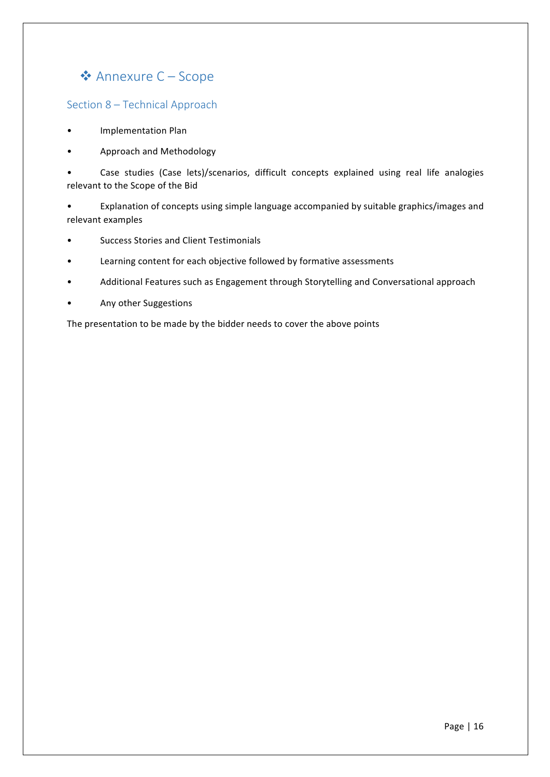## ❖ Annexure C – Scope

#### Section 8 - Technical Approach

- Implementation Plan
- Approach and Methodology

Case studies (Case lets)/scenarios, difficult concepts explained using real life analogies relevant to the Scope of the Bid

• Explanation of concepts using simple language accompanied by suitable graphics/images and relevant examples

- Success Stories and Client Testimonials
- Learning content for each objective followed by formative assessments
- Additional Features such as Engagement through Storytelling and Conversational approach
- Any other Suggestions

The presentation to be made by the bidder needs to cover the above points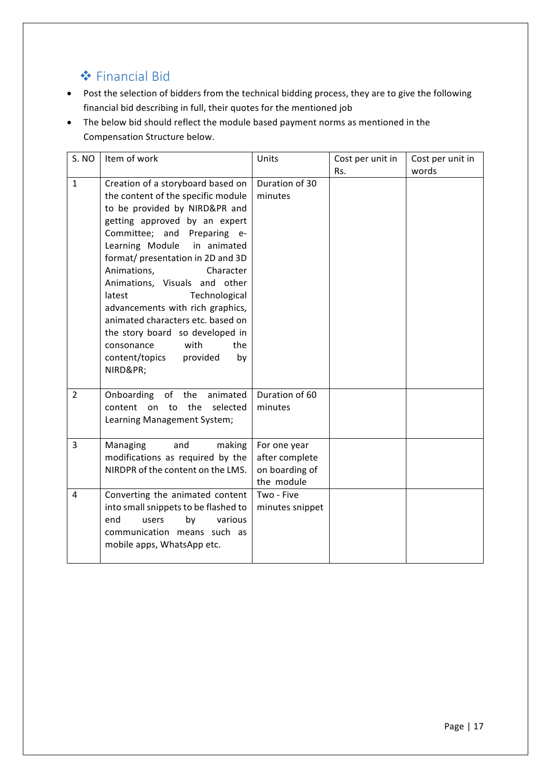# **❖** Financial Bid

- Post the selection of bidders from the technical bidding process, they are to give the following financial bid describing in full, their quotes for the mentioned job
- The below bid should reflect the module based payment norms as mentioned in the Compensation Structure below.

| S. NO          | Item of work                                                                                                                                                                                                                                                                                                                                                                                                                                                                                                                  | Units                                                          | Cost per unit in | Cost per unit in |
|----------------|-------------------------------------------------------------------------------------------------------------------------------------------------------------------------------------------------------------------------------------------------------------------------------------------------------------------------------------------------------------------------------------------------------------------------------------------------------------------------------------------------------------------------------|----------------------------------------------------------------|------------------|------------------|
| $\mathbf{1}$   | Creation of a storyboard based on<br>the content of the specific module<br>to be provided by NIRD&PR and<br>getting approved by an expert<br>Committee; and Preparing e-<br>Learning Module<br>in animated<br>format/ presentation in 2D and 3D<br>Animations,<br>Character<br>Animations, Visuals and other<br>Technological<br>latest<br>advancements with rich graphics,<br>animated characters etc. based on<br>the story board so developed in<br>with<br>the<br>consonance<br>content/topics<br>provided<br>by<br>NIRD≺ | Duration of 30<br>minutes                                      | Rs.              | words            |
| $\overline{2}$ | Onboarding of the<br>animated<br>the<br>selected<br>content<br>on to<br>Learning Management System;                                                                                                                                                                                                                                                                                                                                                                                                                           | Duration of 60<br>minutes                                      |                  |                  |
| 3              | and<br>Managing<br>making<br>modifications as required by the<br>NIRDPR of the content on the LMS.                                                                                                                                                                                                                                                                                                                                                                                                                            | For one year<br>after complete<br>on boarding of<br>the module |                  |                  |
| 4              | Converting the animated content<br>into small snippets to be flashed to<br>various<br>end<br>users<br>by<br>communication means such as<br>mobile apps, WhatsApp etc.                                                                                                                                                                                                                                                                                                                                                         | Two - Five<br>minutes snippet                                  |                  |                  |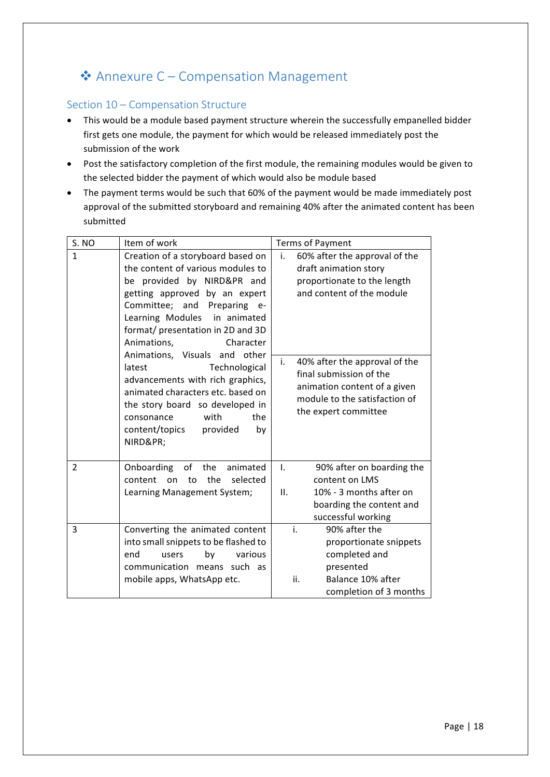# ◆ Annexure C – Compensation Management

#### Section 10 - Compensation Structure

- This would be a module based payment structure wherein the successfully empanelled bidder first gets one module, the payment for which would be released immediately post the submission of the work
- Post the satisfactory completion of the first module, the remaining modules would be given to the selected bidder the payment of which would also be module based
- The payment terms would be such that 60% of the payment would be made immediately post approval of the submitted storyboard and remaining 40% after the animated content has been submitted

| S. NO          | Item of work                                                                                                                                                                                                                                                          | <b>Terms of Payment</b>                                                                                                                                 |
|----------------|-----------------------------------------------------------------------------------------------------------------------------------------------------------------------------------------------------------------------------------------------------------------------|---------------------------------------------------------------------------------------------------------------------------------------------------------|
| $\mathbf{1}$   | Creation of a storyboard based on<br>the content of various modules to<br>be provided by NIRD&PR and<br>getting approved by an expert<br>Committee; and Preparing e-<br>Learning Modules in animated<br>format/ presentation in 2D and 3D<br>Animations,<br>Character | 60% after the approval of the<br>i.<br>draft animation story<br>proportionate to the length<br>and content of the module                                |
|                | Animations, Visuals and other<br>latest<br>Technological<br>advancements with rich graphics,<br>animated characters etc. based on<br>the story board so developed in<br>with<br>consonance<br>the<br>content/topics<br>provided<br>by<br>NIRD≺                        | i.<br>40% after the approval of the<br>final submission of the<br>animation content of a given<br>module to the satisfaction of<br>the expert committee |
| $\overline{2}$ | Onboarding of<br>the<br>animated<br>the<br>selected<br>content<br>on<br>to<br>Learning Management System;                                                                                                                                                             | $\mathsf{L}$<br>90% after on boarding the<br>content on LMS<br>10% - 3 months after on<br>II.<br>boarding the content and<br>successful working         |
| 3              | Converting the animated content<br>into small snippets to be flashed to<br>end<br>by<br>various<br>users<br>communication means such as<br>mobile apps, WhatsApp etc.                                                                                                 | i.<br>90% after the<br>proportionate snippets<br>completed and<br>presented<br>ii.<br>Balance 10% after<br>completion of 3 months                       |